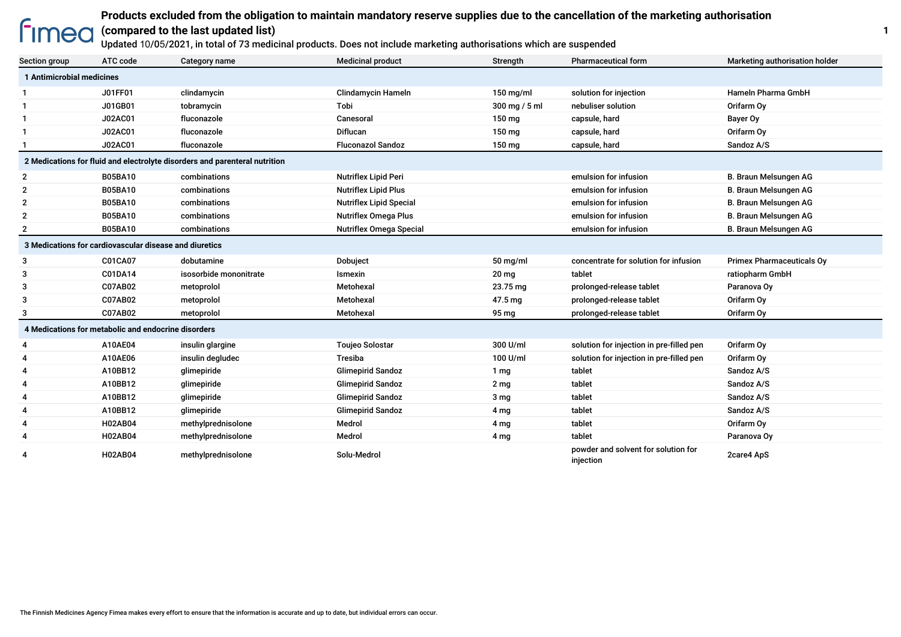# **Products excluded from the obligation to maintain mandatory reserve supplies due to the cancellation of the marketing authorisation fimea**

#### **(compared to the last updated list)**

Updated 10/05/2021, in total of 73 medicinal products. Does not include marketing authorisations which are suspended

| Section group                                                              | ATC code       | Category name          | <b>Medicinal product</b>       | Strength         | <b>Pharmaceutical form</b>                       | Marketing authorisation holder   |  |  |
|----------------------------------------------------------------------------|----------------|------------------------|--------------------------------|------------------|--------------------------------------------------|----------------------------------|--|--|
| 1 Antimicrobial medicines                                                  |                |                        |                                |                  |                                                  |                                  |  |  |
|                                                                            | J01FF01        | clindamycin            | <b>Clindamycin Hameln</b>      | $150$ mg/ml      | solution for injection                           | <b>Hameln Pharma GmbH</b>        |  |  |
| 1                                                                          | J01GB01        | tobramycin             | Tobi                           | 300 mg / 5 ml    | nebuliser solution                               | Orifarm Oy                       |  |  |
| 1                                                                          | J02AC01        | fluconazole            | Canesoral                      | 150 mg           | capsule, hard                                    | Bayer Oy                         |  |  |
| $\mathbf{1}$                                                               | J02AC01        | fluconazole            | <b>Diflucan</b>                | 150 mg           | capsule, hard                                    | Orifarm Oy                       |  |  |
|                                                                            | J02AC01        | fluconazole            | <b>Fluconazol Sandoz</b>       | 150 mg           | capsule, hard                                    | Sandoz A/S                       |  |  |
| 2 Medications for fluid and electrolyte disorders and parenteral nutrition |                |                        |                                |                  |                                                  |                                  |  |  |
| $\overline{2}$                                                             | <b>B05BA10</b> | combinations           | <b>Nutriflex Lipid Peri</b>    |                  | emulsion for infusion                            | B. Braun Melsungen AG            |  |  |
| $\overline{2}$                                                             | <b>B05BA10</b> | combinations           | <b>Nutriflex Lipid Plus</b>    |                  | emulsion for infusion                            | B. Braun Melsungen AG            |  |  |
| $\overline{2}$                                                             | <b>B05BA10</b> | combinations           | <b>Nutriflex Lipid Special</b> |                  | emulsion for infusion                            | B. Braun Melsungen AG            |  |  |
| $\overline{2}$                                                             | <b>B05BA10</b> | combinations           | <b>Nutriflex Omega Plus</b>    |                  | emulsion for infusion                            | B. Braun Melsungen AG            |  |  |
| $\overline{2}$                                                             | <b>B05BA10</b> | combinations           | <b>Nutriflex Omega Special</b> |                  | emulsion for infusion                            | B. Braun Melsungen AG            |  |  |
| 3 Medications for cardiovascular disease and diuretics                     |                |                        |                                |                  |                                                  |                                  |  |  |
| 3                                                                          | C01CA07        | dobutamine             | Dobuject                       | 50 mg/ml         | concentrate for solution for infusion            | <b>Primex Pharmaceuticals Oy</b> |  |  |
| 3                                                                          | C01DA14        | isosorbide mononitrate | Ismexin                        | 20 <sub>mg</sub> | tablet                                           | ratiopharm GmbH                  |  |  |
| 3                                                                          | C07AB02        | metoprolol             | Metohexal                      | 23.75 mg         | prolonged-release tablet                         | Paranova Oy                      |  |  |
| 3                                                                          | C07AB02        | metoprolol             | Metohexal                      | 47.5 mg          | prolonged-release tablet                         | Orifarm Oy                       |  |  |
| 3                                                                          | C07AB02        | metoprolol             | Metohexal                      | 95 mg            | prolonged-release tablet                         | Orifarm Oy                       |  |  |
| 4 Medications for metabolic and endocrine disorders                        |                |                        |                                |                  |                                                  |                                  |  |  |
| 4                                                                          | A10AE04        | insulin glargine       | <b>Toujeo Solostar</b>         | 300 U/ml         | solution for injection in pre-filled pen         | Orifarm Oy                       |  |  |
| 4                                                                          | A10AE06        | insulin degludec       | Tresiba                        | 100 U/ml         | solution for injection in pre-filled pen         | Orifarm Oy                       |  |  |
| 4                                                                          | A10BB12        | glimepiride            | <b>Glimepirid Sandoz</b>       | 1 <sub>mg</sub>  | tablet                                           | Sandoz A/S                       |  |  |
| 4                                                                          | A10BB12        | glimepiride            | <b>Glimepirid Sandoz</b>       | 2 <sub>mg</sub>  | tablet                                           | Sandoz A/S                       |  |  |
| 4                                                                          | A10BB12        | glimepiride            | <b>Glimepirid Sandoz</b>       | 3 <sub>mg</sub>  | tablet                                           | Sandoz A/S                       |  |  |
| 4                                                                          | A10BB12        | glimepiride            | <b>Glimepirid Sandoz</b>       | 4 mg             | tablet                                           | Sandoz A/S                       |  |  |
| 4                                                                          | H02AB04        | methylprednisolone     | Medrol                         | 4 mg             | tablet                                           | Orifarm Oy                       |  |  |
| 4                                                                          | <b>H02AB04</b> | methylprednisolone     | Medrol                         | 4 mg             | tablet                                           | Paranova Ov                      |  |  |
| 4                                                                          | <b>H02AB04</b> | methylprednisolone     | Solu-Medrol                    |                  | powder and solvent for solution for<br>injection | 2care4 ApS                       |  |  |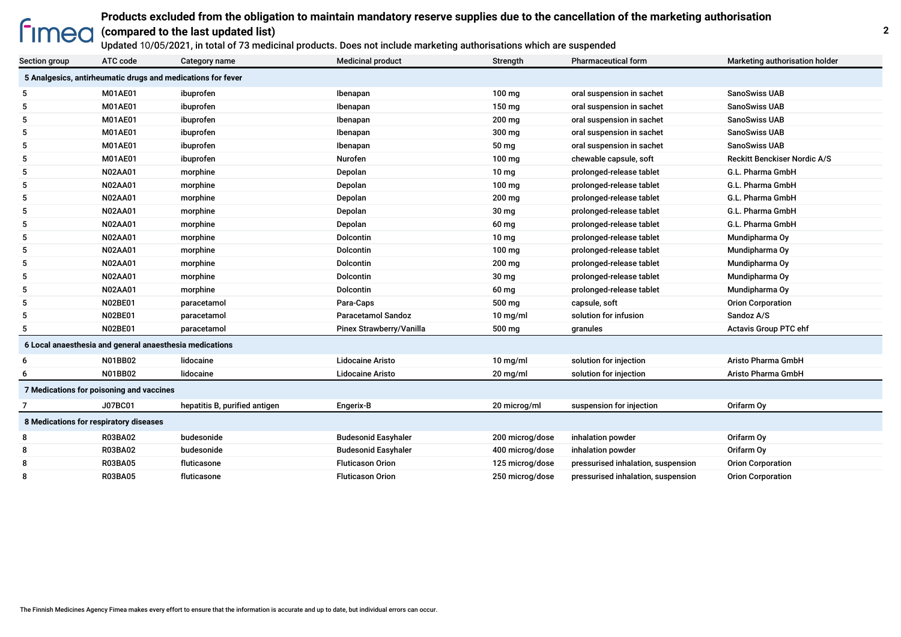### **Products excluded from the obligation to maintain mandatory reserve supplies due to the cancellation of the marketing authorisation**

#### **Fimea (compared to the last updated list)**

Updated 10/05/2021, in total of 73 medicinal products. Does not include marketing authorisations which are suspended

| Section group                                               | ATC code                               | Category name                 | <b>Medicinal product</b>   | Strength         | <b>Pharmaceutical form</b>         | Marketing authorisation holder      |  |
|-------------------------------------------------------------|----------------------------------------|-------------------------------|----------------------------|------------------|------------------------------------|-------------------------------------|--|
| 5 Analgesics, antirheumatic drugs and medications for fever |                                        |                               |                            |                  |                                    |                                     |  |
| 5                                                           | M01AE01                                | ibuprofen                     | Ibenapan                   | $100$ mg         | oral suspension in sachet          | <b>SanoSwiss UAB</b>                |  |
| 5                                                           | M01AE01                                | ibuprofen                     | Ibenapan                   | 150 mg           | oral suspension in sachet          | SanoSwiss UAB                       |  |
| 5                                                           | M01AE01                                | ibuprofen                     | Ibenapan                   | 200 mg           | oral suspension in sachet          | <b>SanoSwiss UAB</b>                |  |
| 5                                                           | M01AE01                                | ibuprofen                     | Ibenapan                   | 300 mg           | oral suspension in sachet          | SanoSwiss UAB                       |  |
| 5                                                           | M01AE01                                | ibuprofen                     | Ibenapan                   | 50 mg            | oral suspension in sachet          | <b>SanoSwiss UAB</b>                |  |
| 5                                                           | M01AE01                                | ibuprofen                     | <b>Nurofen</b>             | $100 \text{ mg}$ | chewable capsule, soft             | <b>Reckitt Benckiser Nordic A/S</b> |  |
| 5                                                           | <b>N02AA01</b>                         | morphine                      | Depolan                    | 10 <sub>mg</sub> | prolonged-release tablet           | G.L. Pharma GmbH                    |  |
| 5                                                           | <b>N02AA01</b>                         | morphine                      | Depolan                    | $100$ mg         | prolonged-release tablet           | G.L. Pharma GmbH                    |  |
| 5                                                           | <b>N02AA01</b>                         | morphine                      | Depolan                    | 200 mg           | prolonged-release tablet           | G.L. Pharma GmbH                    |  |
| 5                                                           | <b>N02AA01</b>                         | morphine                      | Depolan                    | 30 mg            | prolonged-release tablet           | G.L. Pharma GmbH                    |  |
| 5                                                           | <b>N02AA01</b>                         | morphine                      | Depolan                    | 60 mg            | prolonged-release tablet           | G.L. Pharma GmbH                    |  |
| 5                                                           | <b>N02AA01</b>                         | morphine                      | Dolcontin                  | 10 <sub>mg</sub> | prolonged-release tablet           | Mundipharma Oy                      |  |
| 5                                                           | <b>N02AA01</b>                         | morphine                      | Dolcontin                  | 100 mg           | prolonged-release tablet           | Mundipharma Oy                      |  |
| 5                                                           | <b>N02AA01</b>                         | morphine                      | <b>Dolcontin</b>           | 200 mg           | prolonged-release tablet           | Mundipharma Oy                      |  |
| 5                                                           | <b>N02AA01</b>                         | morphine                      | <b>Dolcontin</b>           | 30 mg            | prolonged-release tablet           | Mundipharma Oy                      |  |
| 5                                                           | <b>N02AA01</b>                         | morphine                      | Dolcontin                  | 60 mg            | prolonged-release tablet           | Mundipharma Oy                      |  |
| 5                                                           | <b>N02BE01</b>                         | paracetamol                   | Para-Caps                  | 500 mg           | capsule, soft                      | <b>Orion Corporation</b>            |  |
| 5                                                           | <b>N02BE01</b>                         | paracetamol                   | <b>Paracetamol Sandoz</b>  | $10$ mg/ml       | solution for infusion              | Sandoz A/S                          |  |
| 5                                                           | <b>N02BE01</b>                         | paracetamol                   | Pinex Strawberry/Vanilla   | 500 mg           | granules                           | <b>Actavis Group PTC ehf</b>        |  |
| 6 Local anaesthesia and general anaesthesia medications     |                                        |                               |                            |                  |                                    |                                     |  |
| 6                                                           | N01BB02                                | lidocaine                     | <b>Lidocaine Aristo</b>    | $10$ mg/ml       | solution for injection             | Aristo Pharma GmbH                  |  |
| 6                                                           | N01BB02                                | lidocaine                     | <b>Lidocaine Aristo</b>    | $20$ mg/ml       | solution for injection             | <b>Aristo Pharma GmbH</b>           |  |
| 7 Medications for poisoning and vaccines                    |                                        |                               |                            |                  |                                    |                                     |  |
|                                                             | J07BC01                                | hepatitis B, purified antigen | Engerix-B                  | 20 microg/ml     | suspension for injection           | Orifarm Oy                          |  |
|                                                             | 8 Medications for respiratory diseases |                               |                            |                  |                                    |                                     |  |
| 8                                                           | <b>R03BA02</b>                         | budesonide                    | <b>Budesonid Easyhaler</b> | 200 microg/dose  | inhalation powder                  | Orifarm Oy                          |  |
| 8                                                           | <b>R03BA02</b>                         | budesonide                    | <b>Budesonid Easyhaler</b> | 400 microg/dose  | inhalation powder                  | Orifarm Oy                          |  |
| 8                                                           | <b>R03BA05</b>                         | fluticasone                   | <b>Fluticason Orion</b>    | 125 microg/dose  | pressurised inhalation, suspension | <b>Orion Corporation</b>            |  |
| 8                                                           | <b>R03BA05</b>                         | fluticasone                   | <b>Fluticason Orion</b>    | 250 microg/dose  | pressurised inhalation, suspension | <b>Orion Corporation</b>            |  |